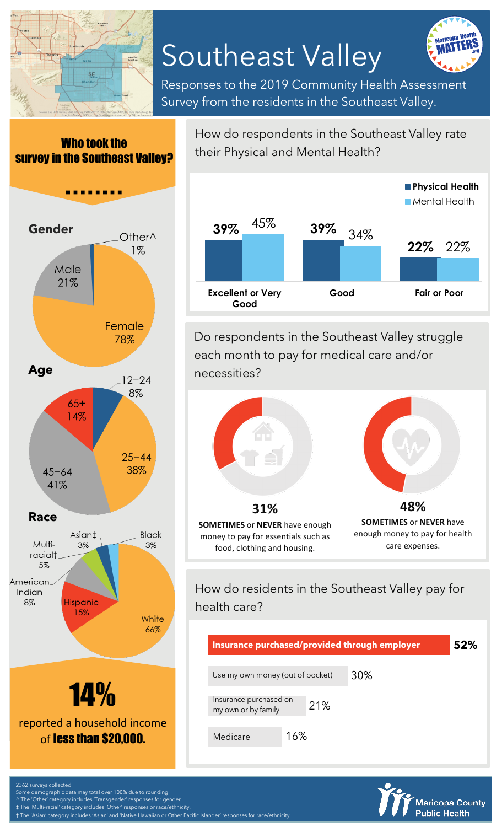

# Southeast Valley



Responses to the 2019 Community Health Assessment Survey from the residents in the Southeast Valley.

#### Who took the survey in the Southeast Valley?



How do respondents in the Southeast Valley rate their Physical and Mental Health?



Do respondents in the Southeast Valley struggle each month to pay for medical care and/or necessities?



money to pay for essentials such as food, clothing and housing.

enough money to pay for health care expenses.

## How do residents in the Southeast Valley pay for health care?

| Insurance purchased/provided through employer        |     |  | 52% |
|------------------------------------------------------|-----|--|-----|
| 30%<br>Use my own money (out of pocket)              |     |  |     |
| Insurance purchased on<br>21%<br>my own or by family |     |  |     |
| Medicare                                             | 16% |  |     |



urveys collected

Some demographic data may total over 100% due to rounding. ^ The 'Other' category includes 'Transgender' responses for gender.

‡ The 'Multi-racial' category includes 'Other' responses or race/ethnicity.

'Asian' category includes 'Asian' and 'Native Hawaiian or Other Pacific Islander' responses for race/ethnicity